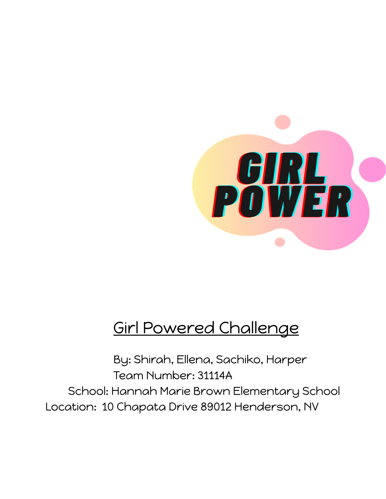

## Girl Powered Challenge

By: Shirah, Ellena, Sachiko, Harper Team Number: 31114A School: Hannah Marie Brown Elementary School Location: 10 Chapata Drive 89012 Henderson, NV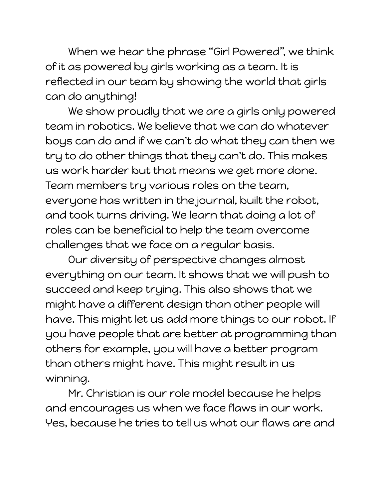When we hear the phrase "Girl Powered", we think of it as powered by girls working as a team. It is reflected in our team by showing the world that girls can do anything!

We show proudly that we are a girls only powered team in robotics. We believe that we can do whatever boys can do and if we can't do what they can then we try to do other things that they can't do. This makes us work harder but that means we get more done. Team members try various roles on the team, everyone has written in the journal, built the robot, and took turns driving. We learn that doing a lot of roles can be beneficial to help the team overcome challenges that we face on a regular basis.

Our diversity of perspective changes almost everything on our team. It shows that we will push to succeed and keep trying. This also shows that we might have a different design than other people will have. This might let us add more things to our robot. If you have people that are better at programming than others for example, you will have a better program than others might have. This might result in us winning.

Mr. Christian is our role model because he helps and encourages us when we face flaws in our work. Yes, because he tries to tell us what our flaws are and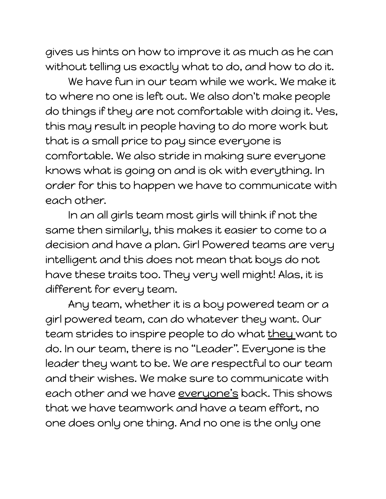gives us hints on how to improve it as much as he can without telling us exactly what to do, and how to do it.

We have fun in our team while we work. We make it to where no one is left out. We also don't make people do things if they are not comfortable with doing it. Yes, this may result in people having to do more work but that is a small price to pay since everyone is comfortable. We also stride in making sure everyone knows what is going on and is ok with everything. In order for this to happen we have to communicate with each other.

In an all girls team most girls will think if not the same then similarly, this makes it easier to come to a decision and have a plan. Girl Powered teams are very intelligent and this does not mean that boys do not have these traits too. They very well might! Alas, it is different for every team.

Any team, whether it is a boy powered team or a girl powered team, can do whatever they want. Our team strides to inspire people to do what they want to do. In our team, there is no "Leader". Everyone is the leader they want to be. We are respectful to our team and their wishes. We make sure to communicate with each other and we have everyone's back. This shows that we have teamwork and have a team effort, no one does only one thing. And no one is the only one